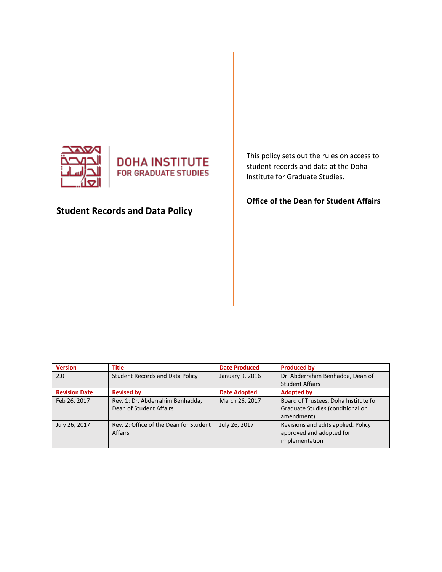



# **Student Records and Data Policy**

This policy sets out the rules on access to student records and data at the Doha Institute for Graduate Studies.

**Office of the Dean for Student Affairs**

| <b>Version</b>       | <b>Title</b>                                                | <b>Date Produced</b> | <b>Produced by</b>                                                                      |
|----------------------|-------------------------------------------------------------|----------------------|-----------------------------------------------------------------------------------------|
| 2.0                  | <b>Student Records and Data Policy</b>                      | January 9, 2016      | Dr. Abderrahim Benhadda, Dean of                                                        |
|                      |                                                             |                      | <b>Student Affairs</b>                                                                  |
| <b>Revision Date</b> | <b>Revised by</b>                                           | <b>Date Adopted</b>  | <b>Adopted by</b>                                                                       |
| Feb 26, 2017         | Rev. 1: Dr. Abderrahim Benhadda,<br>Dean of Student Affairs | March 26, 2017       | Board of Trustees, Doha Institute for<br>Graduate Studies (conditional on<br>amendment) |
| July 26, 2017        | Rev. 2: Office of the Dean for Student<br><b>Affairs</b>    | July 26, 2017        | Revisions and edits applied. Policy<br>approved and adopted for<br>implementation       |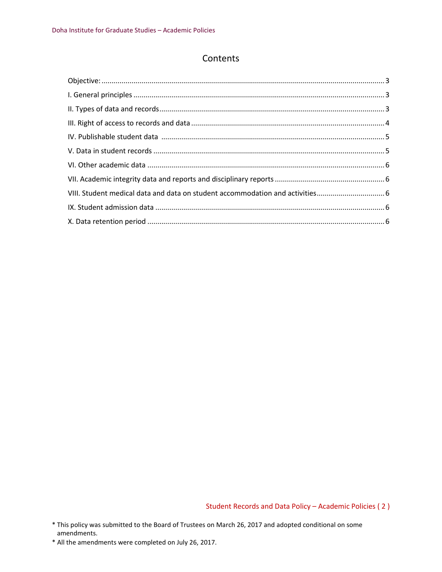# **Contents**

Student Records and Data Policy – Academic Policies ( 2 )

\* All the amendments were completed on July 26, 2017.

<sup>\*</sup> This policy was submitted to the Board of Trustees on March 26, 2017 and adopted conditional on some amendments.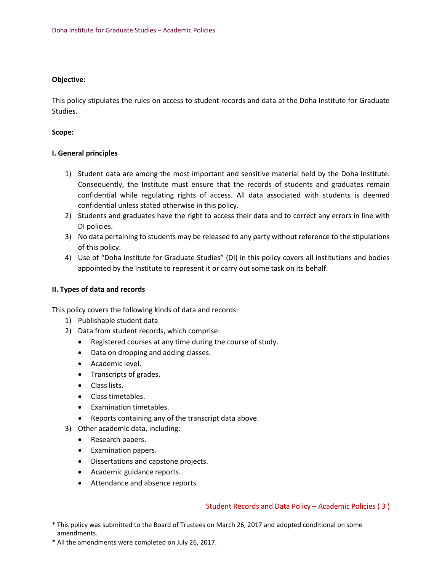# <span id="page-2-0"></span>**Objective:**

This policy stipulates the rules on access to student records and data at the Doha Institute for Graduate Studies.

#### **Scope:**

# <span id="page-2-1"></span>**I. General principles**

- 1) Student data are among the most important and sensitive material held by the Doha Institute. Consequently, the Institute must ensure that the records of students and graduates remain confidential while regulating rights of access. All data associated with students is deemed confidential unless stated otherwise in this policy.
- 2) Students and graduates have the right to access their data and to correct any errors in line with DI policies.
- 3) No data pertaining to students may be released to any party without reference to the stipulations of this policy.
- 4) Use of "Doha Institute for Graduate Studies" (DI) in this policy covers all institutions and bodies appointed by the Institute to represent it or carry out some task on its behalf.

#### <span id="page-2-2"></span>**II. Types of data and records**

This policy covers the following kinds of data and records:

- 1) Publishable student data
- 2) Data from student records, which comprise:
	- Registered courses at any time during the course of study.
	- Data on dropping and adding classes.
	- Academic level.
	- Transcripts of grades.
	- Class lists.
	- Class timetables.
	- Examination timetables.
	- Reports containing any of the transcript data above.
- 3) Other academic data, including:
	- Research papers.
	- Examination papers.
	- Dissertations and capstone projects.
	- Academic guidance reports.
	- Attendance and absence reports.

#### Student Records and Data Policy – Academic Policies ( 3 )

- \* This policy was submitted to the Board of Trustees on March 26, 2017 and adopted conditional on some amendments.
- \* All the amendments were completed on July 26, 2017.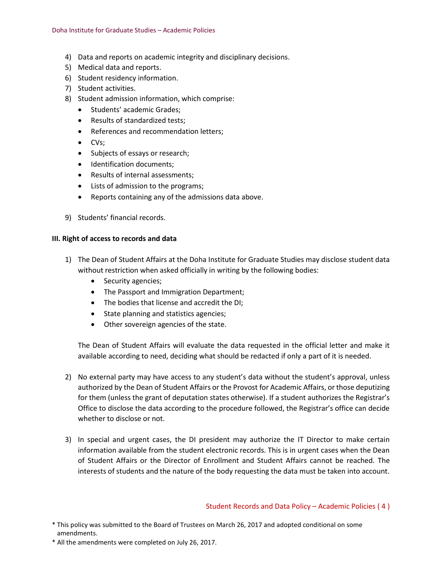- 4) Data and reports on academic integrity and disciplinary decisions.
- 5) Medical data and reports.
- 6) Student residency information.
- 7) Student activities.
- 8) Student admission information, which comprise:
	- Students' academic Grades;
	- Results of standardized tests:
	- References and recommendation letters;
	- CVs;
	- Subjects of essays or research;
	- Identification documents:
	- Results of internal assessments;
	- Lists of admission to the programs;
	- Reports containing any of the admissions data above.
- 9) Students' financial records.

#### <span id="page-3-0"></span>**III. Right of access to records and data**

- 1) The Dean of Student Affairs at the Doha Institute for Graduate Studies may disclose student data without restriction when asked officially in writing by the following bodies:
	- Security agencies;
	- The Passport and Immigration Department;
	- The bodies that license and accredit the DI;
	- State planning and statistics agencies;
	- Other sovereign agencies of the state.

The Dean of Student Affairs will evaluate the data requested in the official letter and make it available according to need, deciding what should be redacted if only a part of it is needed.

- 2) No external party may have access to any student's data without the student's approval, unless authorized by the Dean of Student Affairs or the Provost for Academic Affairs, or those deputizing for them (unless the grant of deputation states otherwise). If a student authorizes the Registrar's Office to disclose the data according to the procedure followed, the Registrar's office can decide whether to disclose or not.
- 3) In special and urgent cases, the DI president may authorize the IT Director to make certain information available from the student electronic records. This is in urgent cases when the Dean of Student Affairs or the Director of Enrollment and Student Affairs cannot be reached. The interests of students and the nature of the body requesting the data must be taken into account.

Student Records and Data Policy – Academic Policies ( 4 )

- \* This policy was submitted to the Board of Trustees on March 26, 2017 and adopted conditional on some amendments.
- \* All the amendments were completed on July 26, 2017.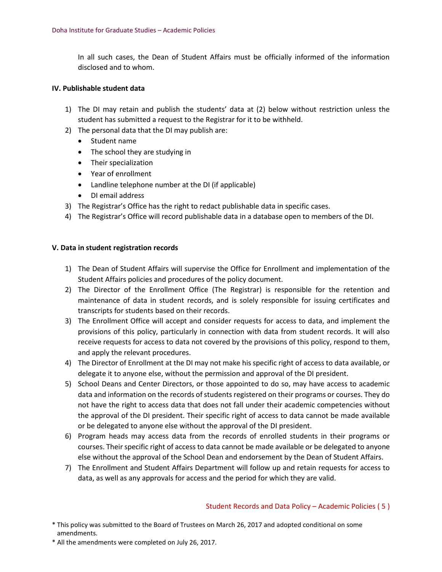In all such cases, the Dean of Student Affairs must be officially informed of the information disclosed and to whom.

#### <span id="page-4-0"></span>**IV. Publishable student data**

- 1) The DI may retain and publish the students' data at (2) below without restriction unless the student has submitted a request to the Registrar for it to be withheld.
- 2) The personal data that the DI may publish are:
	- Student name
	- The school they are studying in
	- Their specialization
	- Year of enrollment
	- Landline telephone number at the DI (if applicable)
	- DI email address
- 3) The Registrar's Office has the right to redact publishable data in specific cases.
- 4) The Registrar's Office will record publishable data in a database open to members of the DI.

#### <span id="page-4-1"></span>**V. Data in student registration records**

- 1) The Dean of Student Affairs will supervise the Office for Enrollment and implementation of the Student Affairs policies and procedures of the policy document.
- 2) The Director of the Enrollment Office (The Registrar) is responsible for the retention and maintenance of data in student records, and is solely responsible for issuing certificates and transcripts for students based on their records.
- 3) The Enrollment Office will accept and consider requests for access to data, and implement the provisions of this policy, particularly in connection with data from student records. It will also receive requests for access to data not covered by the provisions of this policy, respond to them, and apply the relevant procedures.
- 4) The Director of Enrollment at the DI may not make his specific right of access to data available, or delegate it to anyone else, without the permission and approval of the DI president.
- 5) School Deans and Center Directors, or those appointed to do so, may have access to academic data and information on the records of students registered on their programs or courses. They do not have the right to access data that does not fall under their academic competencies without the approval of the DI president. Their specific right of access to data cannot be made available or be delegated to anyone else without the approval of the DI president.
- 6) Program heads may access data from the records of enrolled students in their programs or courses. Their specific right of access to data cannot be made available or be delegated to anyone else without the approval of the School Dean and endorsement by the Dean of Student Affairs.
- 7) The Enrollment and Student Affairs Department will follow up and retain requests for access to data, as well as any approvals for access and the period for which they are valid.

#### Student Records and Data Policy – Academic Policies ( 5 )

- \* This policy was submitted to the Board of Trustees on March 26, 2017 and adopted conditional on some amendments.
- \* All the amendments were completed on July 26, 2017.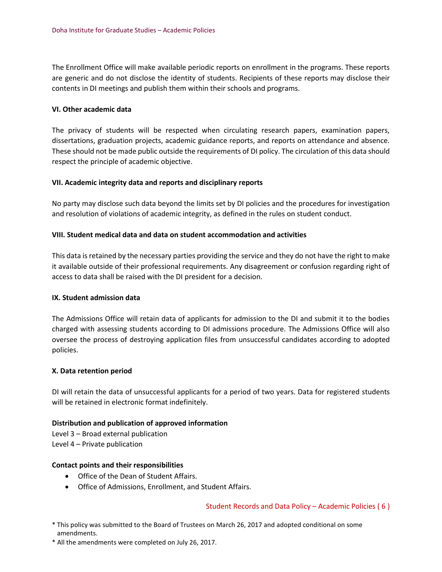The Enrollment Office will make available periodic reports on enrollment in the programs. These reports are generic and do not disclose the identity of students. Recipients of these reports may disclose their contents in DI meetings and publish them within their schools and programs.

#### <span id="page-5-0"></span>**VI. Other academic data**

The privacy of students will be respected when circulating research papers, examination papers, dissertations, graduation projects, academic guidance reports, and reports on attendance and absence. These should not be made public outside the requirements of DI policy. The circulation of this data should respect the principle of academic objective.

# <span id="page-5-1"></span>**VII. Academic integrity data and reports and disciplinary reports**

No party may disclose such data beyond the limits set by DI policies and the procedures for investigation and resolution of violations of academic integrity, as defined in the rules on student conduct.

# <span id="page-5-2"></span>**VIII. Student medical data and data on student accommodation and activities**

This data is retained by the necessary parties providing the service and they do not have the right to make it available outside of their professional requirements. Any disagreement or confusion regarding right of access to data shall be raised with the DI president for a decision.

#### <span id="page-5-3"></span>**IX. Student admission data**

The Admissions Office will retain data of applicants for admission to the DI and submit it to the bodies charged with assessing students according to DI admissions procedure. The Admissions Office will also oversee the process of destroying application files from unsuccessful candidates according to adopted policies.

#### <span id="page-5-4"></span>**X. Data retention period**

DI will retain the data of unsuccessful applicants for a period of two years. Data for registered students will be retained in electronic format indefinitely.

# **Distribution and publication of approved information**

Level 3 – Broad external publication Level 4 – Private publication

#### **Contact points and their responsibilities**

- Office of the Dean of Student Affairs.
- Office of Admissions, Enrollment, and Student Affairs.

#### Student Records and Data Policy – Academic Policies ( 6 )

- \* This policy was submitted to the Board of Trustees on March 26, 2017 and adopted conditional on some amendments.
- \* All the amendments were completed on July 26, 2017.